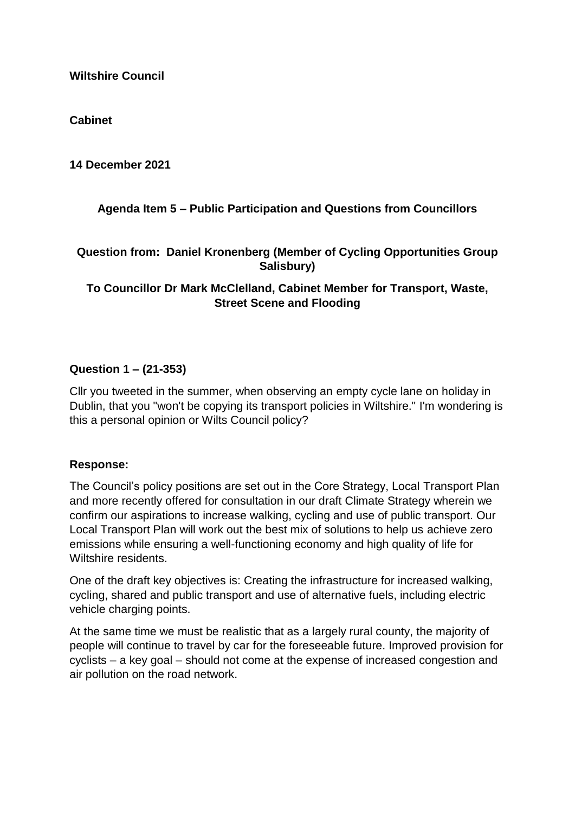### **Cabinet**

**14 December 2021**

# **Agenda Item 5 – Public Participation and Questions from Councillors**

## **Question from: Daniel Kronenberg (Member of Cycling Opportunities Group Salisbury)**

# **To Councillor Dr Mark McClelland, Cabinet Member for Transport, Waste, Street Scene and Flooding**

#### **Question 1 – (21-353)**

Cllr you tweeted in the summer, when observing an empty cycle lane on holiday in Dublin, that you "won't be copying its transport policies in Wiltshire." I'm wondering is this a personal opinion or Wilts Council policy?

#### **Response:**

The Council's policy positions are set out in the Core Strategy, Local Transport Plan and more recently offered for consultation in our draft Climate Strategy wherein we confirm our aspirations to increase walking, cycling and use of public transport. Our Local Transport Plan will work out the best mix of solutions to help us achieve zero emissions while ensuring a well-functioning economy and high quality of life for Wiltshire residents.

One of the draft key objectives is: Creating the infrastructure for increased walking, cycling, shared and public transport and use of alternative fuels, including electric vehicle charging points.

At the same time we must be realistic that as a largely rural county, the majority of people will continue to travel by car for the foreseeable future. Improved provision for cyclists – a key goal – should not come at the expense of increased congestion and air pollution on the road network.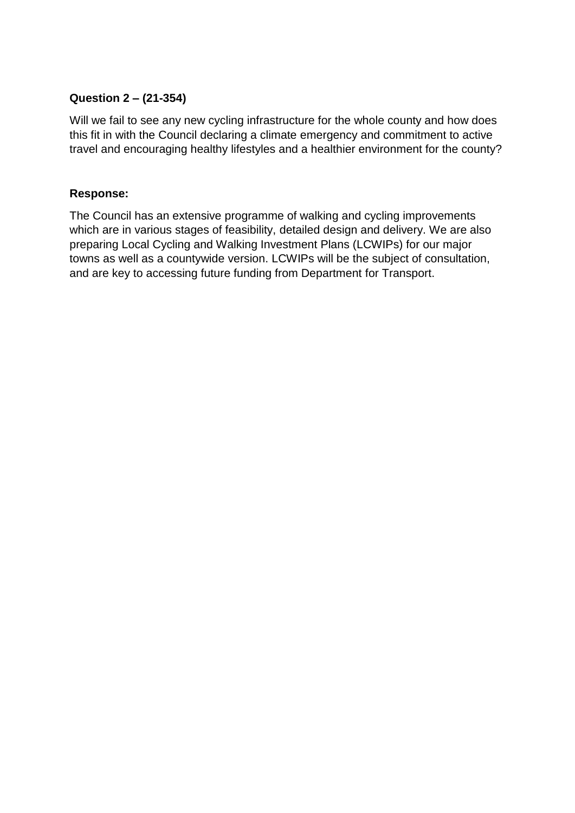# **Question 2 – (21-354)**

Will we fail to see any new cycling infrastructure for the whole county and how does this fit in with the Council declaring a climate emergency and commitment to active travel and encouraging healthy lifestyles and a healthier environment for the county?

# **Response:**

The Council has an extensive programme of walking and cycling improvements which are in various stages of feasibility, detailed design and delivery. We are also preparing Local Cycling and Walking Investment Plans (LCWIPs) for our major towns as well as a countywide version. LCWIPs will be the subject of consultation, and are key to accessing future funding from Department for Transport.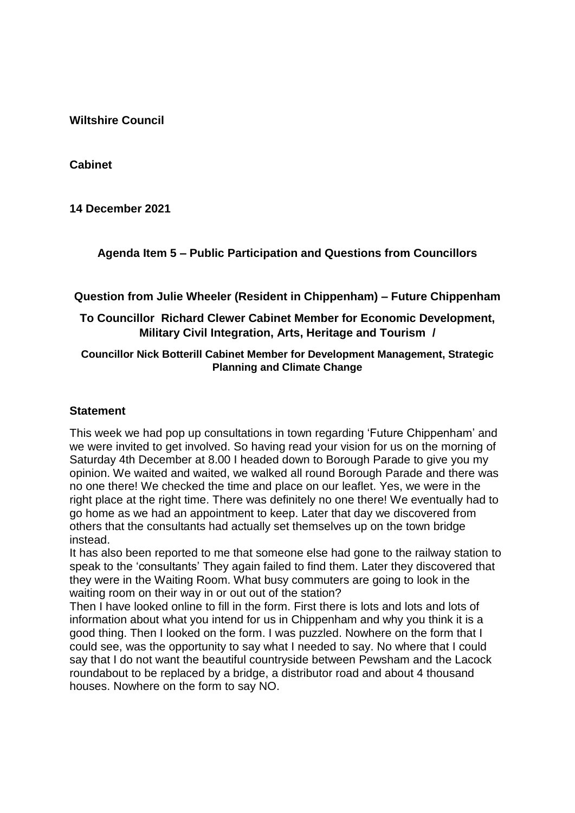**Cabinet**

**14 December 2021**

**Agenda Item 5 – Public Participation and Questions from Councillors**

**Question from Julie Wheeler (Resident in Chippenham) – Future Chippenham** 

## **To Councillor Richard Clewer Cabinet Member for Economic Development, Military Civil Integration, Arts, Heritage and Tourism /**

### **Councillor Nick Botterill Cabinet Member for Development Management, Strategic Planning and Climate Change**

#### **Statement**

This week we had pop up consultations in town regarding 'Future Chippenham' and we were invited to get involved. So having read your vision for us on the morning of Saturday 4th December at 8.00 I headed down to Borough Parade to give you my opinion. We waited and waited, we walked all round Borough Parade and there was no one there! We checked the time and place on our leaflet. Yes, we were in the right place at the right time. There was definitely no one there! We eventually had to go home as we had an appointment to keep. Later that day we discovered from others that the consultants had actually set themselves up on the town bridge instead.

It has also been reported to me that someone else had gone to the railway station to speak to the 'consultants' They again failed to find them. Later they discovered that they were in the Waiting Room. What busy commuters are going to look in the waiting room on their way in or out out of the station?

Then I have looked online to fill in the form. First there is lots and lots and lots of information about what you intend for us in Chippenham and why you think it is a good thing. Then I looked on the form. I was puzzled. Nowhere on the form that I could see, was the opportunity to say what I needed to say. No where that I could say that I do not want the beautiful countryside between Pewsham and the Lacock roundabout to be replaced by a bridge, a distributor road and about 4 thousand houses. Nowhere on the form to say NO.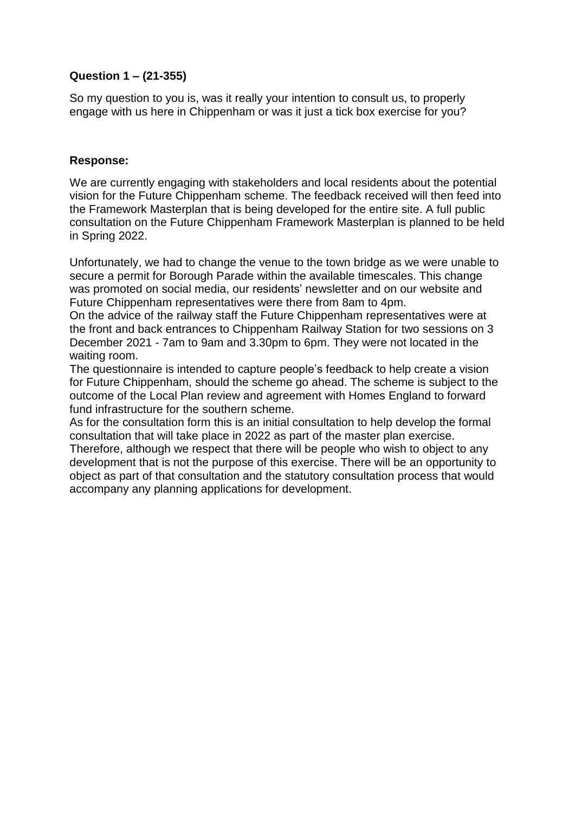### **Question 1 – (21-355)**

So my question to you is, was it really your intention to consult us, to properly engage with us here in Chippenham or was it just a tick box exercise for you?

### **Response:**

We are currently engaging with stakeholders and local residents about the potential vision for the Future Chippenham scheme. The feedback received will then feed into the Framework Masterplan that is being developed for the entire site. A full public consultation on the Future Chippenham Framework Masterplan is planned to be held in Spring 2022.

Unfortunately, we had to change the venue to the town bridge as we were unable to secure a permit for Borough Parade within the available timescales. This change was promoted on social media, our residents' newsletter and on our website and Future Chippenham representatives were there from 8am to 4pm.

On the advice of the railway staff the Future Chippenham representatives were at the front and back entrances to Chippenham Railway Station for two sessions on 3 December 2021 - 7am to 9am and 3.30pm to 6pm. They were not located in the waiting room.

The questionnaire is intended to capture people's feedback to help create a vision for Future Chippenham, should the scheme go ahead. The scheme is subject to the outcome of the Local Plan review and agreement with Homes England to forward fund infrastructure for the southern scheme.

As for the consultation form this is an initial consultation to help develop the formal consultation that will take place in 2022 as part of the master plan exercise.

Therefore, although we respect that there will be people who wish to object to any development that is not the purpose of this exercise. There will be an opportunity to object as part of that consultation and the statutory consultation process that would accompany any planning applications for development.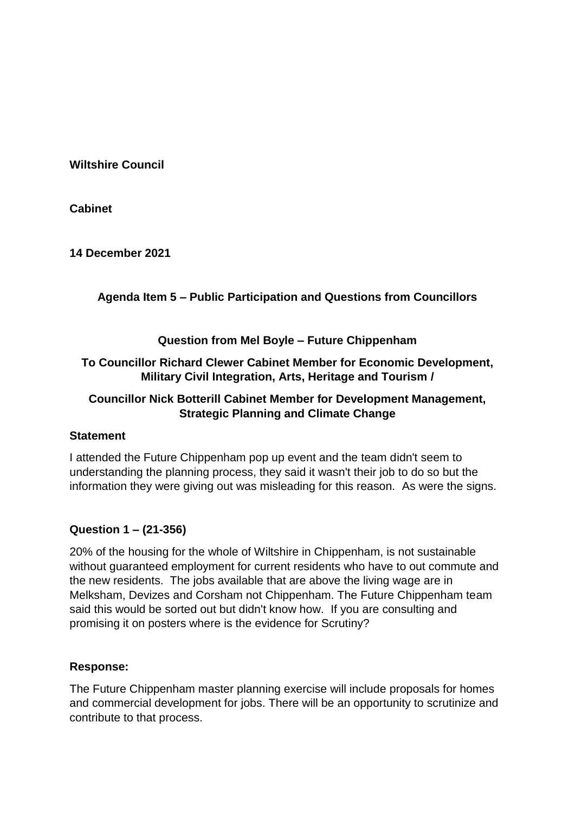**Cabinet**

**14 December 2021**

# **Agenda Item 5 – Public Participation and Questions from Councillors**

### **Question from Mel Boyle – Future Chippenham**

# **To Councillor Richard Clewer Cabinet Member for Economic Development, Military Civil Integration, Arts, Heritage and Tourism /**

# **Councillor Nick Botterill Cabinet Member for Development Management, Strategic Planning and Climate Change**

#### **Statement**

I attended the Future Chippenham pop up event and the team didn't seem to understanding the planning process, they said it wasn't their job to do so but the information they were giving out was misleading for this reason. As were the signs.

# **Question 1 – (21-356)**

20% of the housing for the whole of Wiltshire in Chippenham, is not sustainable without guaranteed employment for current residents who have to out commute and the new residents. The jobs available that are above the living wage are in Melksham, Devizes and Corsham not Chippenham. The Future Chippenham team said this would be sorted out but didn't know how. If you are consulting and promising it on posters where is the evidence for Scrutiny?

# **Response:**

The Future Chippenham master planning exercise will include proposals for homes and commercial development for jobs. There will be an opportunity to scrutinize and contribute to that process.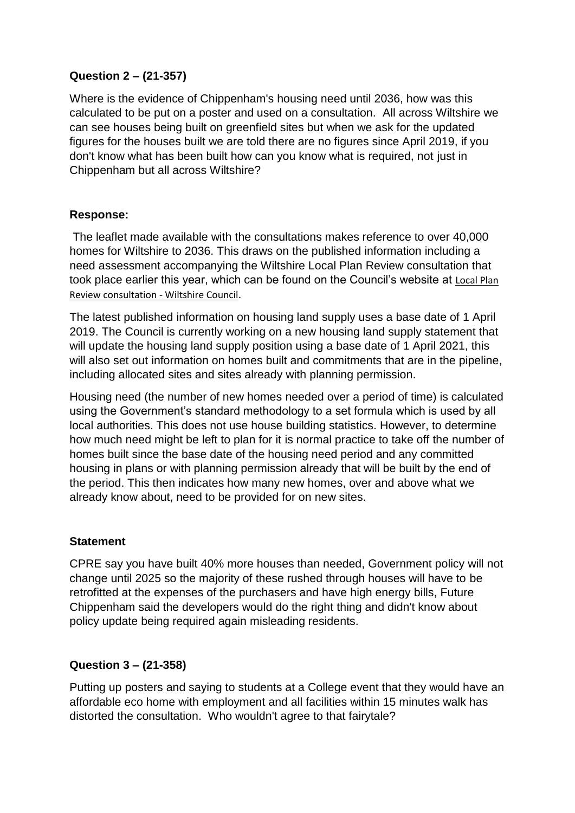# **Question 2 – (21-357)**

Where is the evidence of Chippenham's housing need until 2036, how was this calculated to be put on a poster and used on a consultation. All across Wiltshire we can see houses being built on greenfield sites but when we ask for the updated figures for the houses built we are told there are no figures since April 2019, if you don't know what has been built how can you know what is required, not just in Chippenham but all across Wiltshire?

### **Response:**

The leaflet made available with the consultations makes reference to over 40,000 homes for Wiltshire to 2036. This draws on the published information including a need assessment accompanying the Wiltshire Local Plan Review consultation that took place earlier this year, which can be found on the Council's website at [Local Plan](https://eur02.safelinks.protection.outlook.com/?url=https%3A%2F%2Fwww.wiltshire.gov.uk%2Fplanning-policy-local-plan-review-consultation&data=04%7C01%7CSimon.Hendey%40wiltshire.gov.uk%7C5611fdb86d594ec0e5b108d9bbcb8f39%7C5546e75e3be14813b0ff26651ea2fe19%7C0%7C0%7C637747305213455378%7CUnknown%7CTWFpbGZsb3d8eyJWIjoiMC4wLjAwMDAiLCJQIjoiV2luMzIiLCJBTiI6Ik1haWwiLCJXVCI6Mn0%3D%7C3000&sdata=rm%2Bk3b0vPghG0pcDVmuo0PV69f%2BCnwEE7gGddP70Xrw%3D&reserved=0)  [Review consultation -](https://eur02.safelinks.protection.outlook.com/?url=https%3A%2F%2Fwww.wiltshire.gov.uk%2Fplanning-policy-local-plan-review-consultation&data=04%7C01%7CSimon.Hendey%40wiltshire.gov.uk%7C5611fdb86d594ec0e5b108d9bbcb8f39%7C5546e75e3be14813b0ff26651ea2fe19%7C0%7C0%7C637747305213455378%7CUnknown%7CTWFpbGZsb3d8eyJWIjoiMC4wLjAwMDAiLCJQIjoiV2luMzIiLCJBTiI6Ik1haWwiLCJXVCI6Mn0%3D%7C3000&sdata=rm%2Bk3b0vPghG0pcDVmuo0PV69f%2BCnwEE7gGddP70Xrw%3D&reserved=0) Wiltshire Council.

The latest published information on housing land supply uses a base date of 1 April 2019. The Council is currently working on a new housing land supply statement that will update the housing land supply position using a base date of 1 April 2021, this will also set out information on homes built and commitments that are in the pipeline, including allocated sites and sites already with planning permission.

Housing need (the number of new homes needed over a period of time) is calculated using the Government's standard methodology to a set formula which is used by all local authorities. This does not use house building statistics. However, to determine how much need might be left to plan for it is normal practice to take off the number of homes built since the base date of the housing need period and any committed housing in plans or with planning permission already that will be built by the end of the period. This then indicates how many new homes, over and above what we already know about, need to be provided for on new sites.

#### **Statement**

CPRE say you have built 40% more houses than needed, Government policy will not change until 2025 so the majority of these rushed through houses will have to be retrofitted at the expenses of the purchasers and have high energy bills, Future Chippenham said the developers would do the right thing and didn't know about policy update being required again misleading residents.

#### **Question 3 – (21-358)**

Putting up posters and saying to students at a College event that they would have an affordable eco home with employment and all facilities within 15 minutes walk has distorted the consultation. Who wouldn't agree to that fairytale?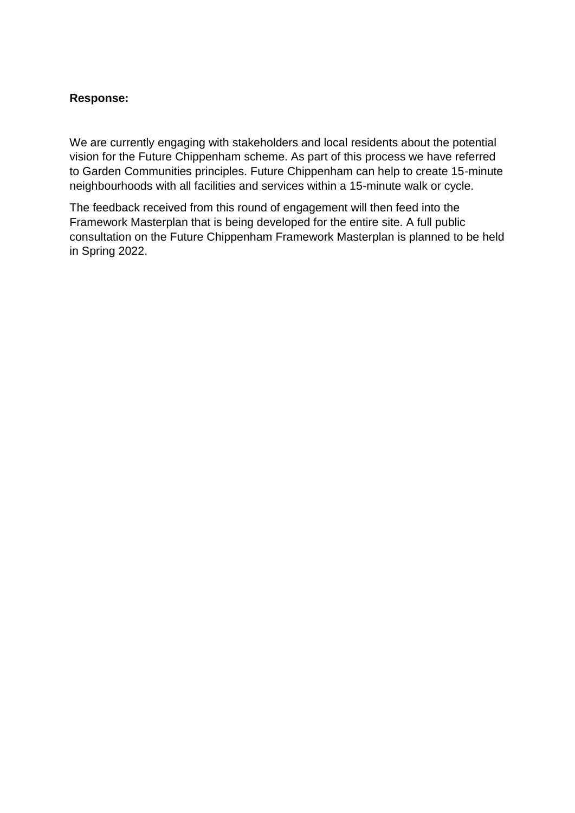### **Response:**

We are currently engaging with stakeholders and local residents about the potential vision for the Future Chippenham scheme. As part of this process we have referred to Garden Communities principles. Future Chippenham can help to create 15-minute neighbourhoods with all facilities and services within a 15-minute walk or cycle.

The feedback received from this round of engagement will then feed into the Framework Masterplan that is being developed for the entire site. A full public consultation on the Future Chippenham Framework Masterplan is planned to be held in Spring 2022.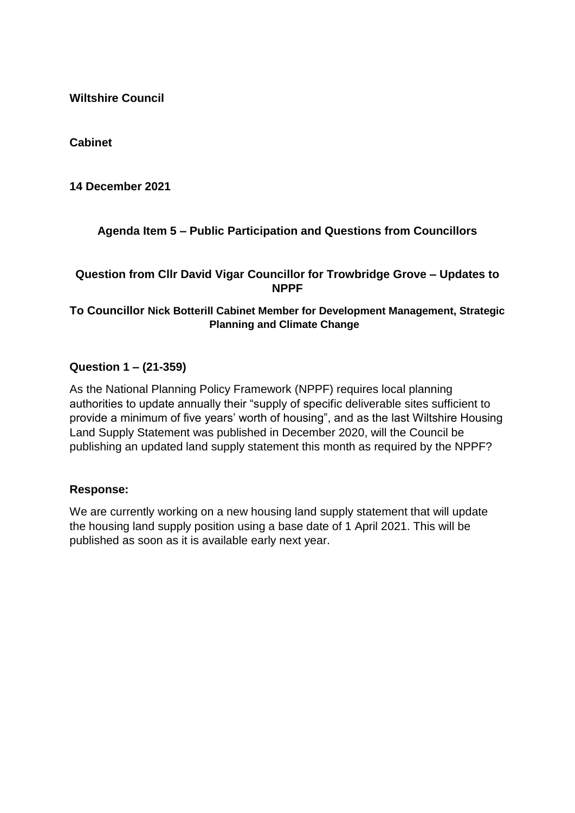**Cabinet**

**14 December 2021**

# **Agenda Item 5 – Public Participation and Questions from Councillors**

### **Question from Cllr David Vigar Councillor for Trowbridge Grove – Updates to NPPF**

#### **To Councillor Nick Botterill Cabinet Member for Development Management, Strategic Planning and Climate Change**

### **Question 1 – (21-359)**

As the National Planning Policy Framework (NPPF) requires local planning authorities to update annually their "supply of specific deliverable sites sufficient to provide a minimum of five years' worth of housing", and as the last Wiltshire Housing Land Supply Statement was published in December 2020, will the Council be publishing an updated land supply statement this month as required by the NPPF?

#### **Response:**

We are currently working on a new housing land supply statement that will update the housing land supply position using a base date of 1 April 2021. This will be published as soon as it is available early next year.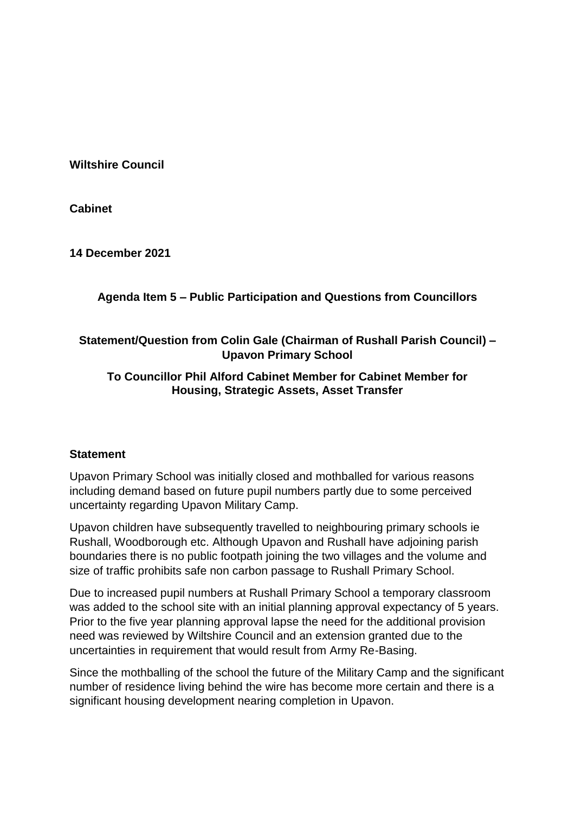**Cabinet**

**14 December 2021**

# **Agenda Item 5 – Public Participation and Questions from Councillors**

# **Statement/Question from Colin Gale (Chairman of Rushall Parish Council) – Upavon Primary School**

# **To Councillor Phil Alford Cabinet Member for Cabinet Member for Housing, Strategic Assets, Asset Transfer**

#### **Statement**

Upavon Primary School was initially closed and mothballed for various reasons including demand based on future pupil numbers partly due to some perceived uncertainty regarding Upavon Military Camp.

Upavon children have subsequently travelled to neighbouring primary schools ie Rushall, Woodborough etc. Although Upavon and Rushall have adjoining parish boundaries there is no public footpath joining the two villages and the volume and size of traffic prohibits safe non carbon passage to Rushall Primary School.

Due to increased pupil numbers at Rushall Primary School a temporary classroom was added to the school site with an initial planning approval expectancy of 5 years. Prior to the five year planning approval lapse the need for the additional provision need was reviewed by Wiltshire Council and an extension granted due to the uncertainties in requirement that would result from Army Re-Basing.

Since the mothballing of the school the future of the Military Camp and the significant number of residence living behind the wire has become more certain and there is a significant housing development nearing completion in Upavon.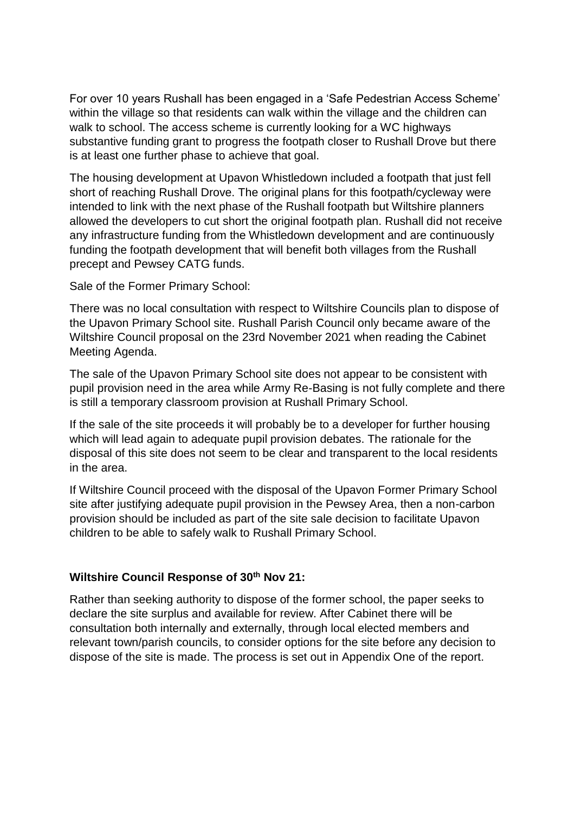For over 10 years Rushall has been engaged in a 'Safe Pedestrian Access Scheme' within the village so that residents can walk within the village and the children can walk to school. The access scheme is currently looking for a WC highways substantive funding grant to progress the footpath closer to Rushall Drove but there is at least one further phase to achieve that goal.

The housing development at Upavon Whistledown included a footpath that just fell short of reaching Rushall Drove. The original plans for this footpath/cycleway were intended to link with the next phase of the Rushall footpath but Wiltshire planners allowed the developers to cut short the original footpath plan. Rushall did not receive any infrastructure funding from the Whistledown development and are continuously funding the footpath development that will benefit both villages from the Rushall precept and Pewsey CATG funds.

Sale of the Former Primary School:

There was no local consultation with respect to Wiltshire Councils plan to dispose of the Upavon Primary School site. Rushall Parish Council only became aware of the Wiltshire Council proposal on the 23rd November 2021 when reading the Cabinet Meeting Agenda.

The sale of the Upavon Primary School site does not appear to be consistent with pupil provision need in the area while Army Re-Basing is not fully complete and there is still a temporary classroom provision at Rushall Primary School.

If the sale of the site proceeds it will probably be to a developer for further housing which will lead again to adequate pupil provision debates. The rationale for the disposal of this site does not seem to be clear and transparent to the local residents in the area.

If Wiltshire Council proceed with the disposal of the Upavon Former Primary School site after justifying adequate pupil provision in the Pewsey Area, then a non-carbon provision should be included as part of the site sale decision to facilitate Upavon children to be able to safely walk to Rushall Primary School.

#### **Wiltshire Council Response of 30th Nov 21:**

Rather than seeking authority to dispose of the former school, the paper seeks to declare the site surplus and available for review. After Cabinet there will be consultation both internally and externally, through local elected members and relevant town/parish councils, to consider options for the site before any decision to dispose of the site is made. The process is set out in Appendix One of the report.